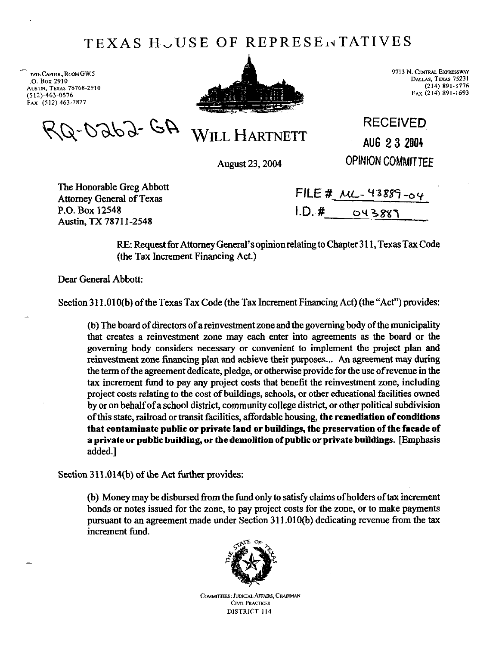## TEXAS HUUSE OF REPRESENTATIVES

TATE **CAPITOL**, ROOM GW.5 **.o. Box 2910 AWT~,TEXAS 78768.2910 (512).463.0576 Fax (512)463-7827** 

-



**~~~~N.CENTXALEYX~ESSWAY DALLAS, TEXAS 75231 (214) 891-1776 FAX (214) 891-1693** 

RQ-0262-GA

WILL HARTNETT

August 23,2004

**RECEIVED AUG 2 3 2004** 

**OPINION COMMITTEE** 

The Honorable Greg Abbott Attorney General of Texas P.O. Box 12548 Austin, TX 7871 l-2548

|        | FILE # $ML-43889 - 04$ |
|--------|------------------------|
| I.D. # | 043887                 |

RE: Request for Attorney General's opinionrelatingto Chapter 3 11, Texas Tax Code (the Tax Increment Financing Act.)

Dear General Abbott:

Section 311.010(b) of the Texas Tax Code (the Tax Increment Financing Act) (the "Act") provides:

(b) The board of directors of a reinvestment zone and the governing body of the municipality that creates a reinvestment zone may each enter into agreements as the board or the governing body considers necessary or convenient to implement the project plan and reinvestment zone financing plan and achieve their purposes... An agreement may during the term of the agreement dedicate, pledge, or otherwise provide for the use of revenue in the tax increment fund to pay any project costs that benefit the reinvestment zone, including project costs relating to the cost of buildings, schools, or other educational facilities owned by or **on** behalf of a school district, community college district, or other political subdivision ofthis state, railroad or transit facilities, affordable housing, **the remediation of conditions that contaminate public or private land or buildings, the preservation of the facade of a private or public building, or the demolition of public or private buildings.** [Emphasis added.]

Section 311.014(b) of the Act further provides:

(b) Money may be disbursed from the fund only to satisfy claims of holders oftax increment bonds or notes issued for the zone, to pay project costs for the zone, or to make payments pursuant to an agreement made under Section 311.010(b) dedicating revenue from the tax increment fund.



COMMITTEES: JUDICIAL AFFAIRS, CHAIRMAN CIVIL PRACTICES DISTRICT 114